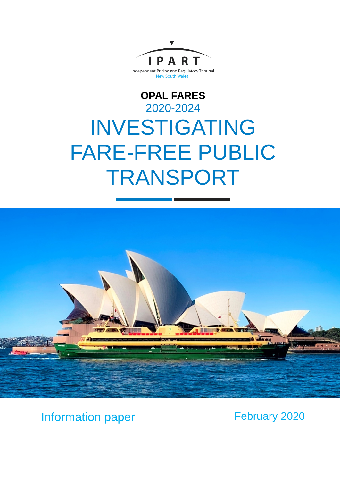

# **OPAL FARES** 2020-2024 INVESTIGATING FARE-FREE PUBLIC TRANSPORT



Information paper February 2020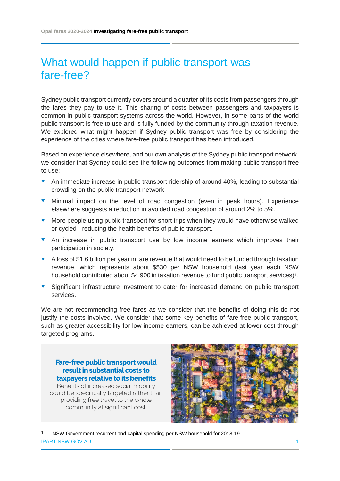## What would happen if public transport was fare-free?

Sydney public transport currently covers around a quarter of its costs from passengers through the fares they pay to use it. This sharing of costs between passengers and taxpayers is common in public transport systems across the world. However, in some parts of the world public transport is free to use and is fully funded by the community through taxation revenue. We explored what might happen if Sydney public transport was free by considering the experience of the cities where fare-free public transport has been introduced.

Based on experience elsewhere, and our own analysis of the Sydney public transport network, we consider that Sydney could see the following outcomes from making public transport free to use:

- An immediate increase in public transport ridership of around 40%, leading to substantial crowding on the public transport network.
- **v** Minimal impact on the level of road congestion (even in peak hours). Experience elsewhere suggests a reduction in avoided road congestion of around 2% to 5%.
- More people using public transport for short trips when they would have otherwise walked or cycled - reducing the health benefits of public transport.
- **T** An increase in public transport use by low income earners which improves their participation in society.
- A loss of \$1.6 billion per year in fare revenue that would need to be funded through taxation revenue, which represents about \$530 per NSW household (last year each NSW household contributed about \$4,900 in taxation revenue to fund public transport services)<sup>[1](#page-1-0)</sup>.
- **v** Significant infrastructure investment to cater for increased demand on public transport services.

We are not recommending free fares as we consider that the benefits of doing this do not justify the costs involved. We consider that some key benefits of fare-free public transport, such as greater accessibility for low income earners, can be achieved at lower cost through targeted programs.

**Fare-free public transport would result in substantial costs to taxpayers relative to its benefits**

Benefits of increased social mobility could be specifically targeted rather than providing free travel to the whole community at significant cost.



<span id="page-1-0"></span>IPART.NSW.GOV.AU 1 1 NSW Government recurrent and capital spending per NSW household for 2018-19.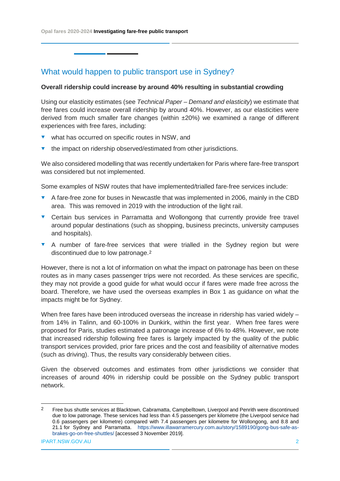**Opal fares 2020-2024 Investigating fare-free public transport**

What would happen to public transport use in Sydney?

## **Overall ridership could increase by around 40% resulting in substantial crowding**

Using our elasticity estimates (see *Technical Paper – Demand and elasticity*) we estimate that free fares could increase overall ridership by around 40%. However, as our elasticities were derived from much smaller fare changes (within ±20%) we examined a range of different experiences with free fares, including:

- $\bullet$  what has occurred on specific routes in NSW, and
- $\bullet$  the impact on ridership observed/estimated from other jurisdictions.

We also considered modelling that was recently undertaken for Paris where fare-free transport was considered but not implemented.

Some examples of NSW routes that have implemented/trialled fare-free services include:

- A fare-free zone for buses in Newcastle that was implemented in 2006, mainly in the CBD area. This was removed in 2019 with the introduction of the light rail.
- **v** Certain bus services in Parramatta and Wollongong that currently provide free travel around popular destinations (such as shopping, business precincts, university campuses and hospitals).
- A number of fare-free services that were trialled in the Sydney region but were discontinued due to low patronage.[2](#page-2-0)

However, there is not a lot of information on what the impact on patronage has been on these routes as in many cases passenger trips were not recorded. As these services are specific, they may not provide a good guide for what would occur if fares were made free across the board. Therefore, we have used the overseas examples in Box 1 as guidance on what the impacts might be for Sydney.

When free fares have been introduced overseas the increase in ridership has varied widely – from 14% in Talinn, and 60-100% in Dunkirk, within the first year. When free fares were proposed for Paris, studies estimated a patronage increase of 6% to 48%. However, we note that increased ridership following free fares is largely impacted by the quality of the public transport services provided, prior fare prices and the cost and feasibility of alternative modes (such as driving). Thus, the results vary considerably between cities.

Given the observed outcomes and estimates from other jurisdictions we consider that increases of around 40% in ridership could be possible on the Sydney public transport network.

<span id="page-2-0"></span><sup>&</sup>lt;sup>2</sup> Free bus shuttle services at Blacktown, Cabramatta, Campbelltown, Liverpool and Penrith were discontinued due to low patronage. These services had less than 4.5 passengers per kilometre (the Liverpool service had 0.6 passengers per kilometre) compared with 7.4 passengers per kilometre for Wollongong, and 8.8 and 21.1 for Sydney and Parramatta. [https://www.illawarramercury.com.au/story/1589190/gong-bus-safe-as](https://www.illawarramercury.com.au/story/1589190/gong-bus-safe-as-brakes-go-on-free-shuttles/)[brakes-go-on-free-shuttles/](https://www.illawarramercury.com.au/story/1589190/gong-bus-safe-as-brakes-go-on-free-shuttles/) [accessed 3 November 2019].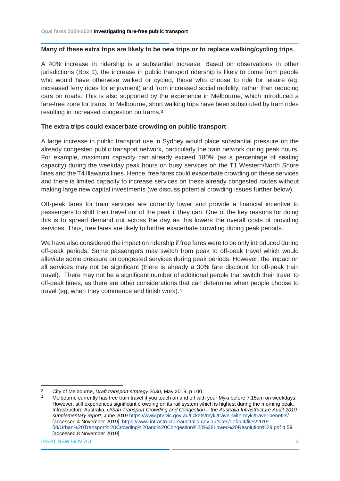## **Many of these extra trips are likely to be new trips or to replace walking/cycling trips**

A 40% increase in ridership is a substantial increase. Based on observations in other jurisdictions (Box 1), the increase in public transport ridership is likely to come from people who would have otherwise walked or cycled, those who choose to ride for leisure (eg, increased ferry rides for enjoyment) and from increased social mobility, rather than reducing cars on roads. This is also supported by the experience in Melbourne, which introduced a fare-free zone for trams. In Melbourne, short walking trips have been substituted by tram rides resulting in increased congestion on trams.[3](#page-3-0)

## **The extra trips could exacerbate crowding on public transport**

A large increase in public transport use in Sydney would place substantial pressure on the already congested public transport network, particularly the train network during peak hours. For example, maximum capacity can already exceed 180% (as a percentage of seating capacity) during the weekday peak hours on busy services on the T1 Western/North Shore lines and the T4 Illawarra lines. Hence, free fares could exacerbate crowding on these services and there is limited capacity to increase services on these already congested routes without making large new capital investments (we discuss potential crowding issues further below).

Off-peak fares for train services are currently lower and provide a financial incentive to passengers to shift their travel out of the peak if they can. One of the key reasons for doing this is to spread demand out across the day as this lowers the overall costs of providing services. Thus, free fares are likely to further exacerbate crowding during peak periods.

We have also considered the impact on ridership if free fares were to be only introduced during off-peak periods. Some passengers may switch from peak to off-peak travel which would alleviate some pressure on congested services during peak periods. However, the impact on all services may not be significant (there is already a 30% fare discount for off-peak train travel). There may not be a significant number of additional people that switch their travel to off-peak times, as there are other considerations that can determine when people choose to travel (eg, when they commence and finish work).[4](#page-3-1)

IPART.NSW.GOV.AU 3

<span id="page-3-0"></span> <sup>3</sup> City of Melbourne, *Draft transport strategy 2030*, May 2019, p 100.

<span id="page-3-1"></span>Melbourne currently has free train travel if you touch on and off with your Myki before 7:15am on weekdays. However, still experiences significant crowding on its rail system which is highest during the morning peak. Infrastructure Australia, *Urban Transport Crowding and Congestion – the Australia Infrastructure Audit 2019 supplementary report*, June 2019<https://www.ptv.vic.gov.au/tickets/myki/travel-with-myki/travel-benefits/> [accessed 4 November 2019], [https://www.infrastructureaustralia.gov.au/sites/default/files/2019-](https://www.infrastructureaustralia.gov.au/sites/default/files/2019-08/Urban%20Transport%20Crowding%20and%20Congestion%20%28Lower%20Resolution%29.pdf) [08/Urban%20Transport%20Crowding%20and%20Congestion%20%28Lower%20Resolution%29.pdf](https://www.infrastructureaustralia.gov.au/sites/default/files/2019-08/Urban%20Transport%20Crowding%20and%20Congestion%20%28Lower%20Resolution%29.pdf) p 59 [accessed 8 November 2019]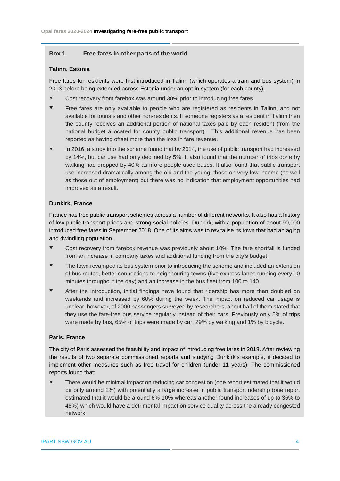## **Box 1 Free fares in other parts of the world**

#### **Talinn, Estonia**

Free fares for residents were first introduced in Talinn (which operates a tram and bus system) in 2013 before being extended across Estonia under an opt-in system (for each county).

- Cost recovery from farebox was around 30% prior to introducing free fares.
- **Figure 1** Free fares are only available to people who are registered as residents in Talinn, and not available for tourists and other non-residents. If someone registers as a resident in Talinn then the county receives an additional portion of national taxes paid by each resident (from the national budget allocated for county public transport). This additional revenue has been reported as having offset more than the loss in fare revenue.
- $\bullet$  In 2016, a study into the scheme found that by 2014, the use of public transport had increased by 14%, but car use had only declined by 5%. It also found that the number of trips done by walking had dropped by 40% as more people used buses. It also found that public transport use increased dramatically among the old and the young, those on very low income (as well as those out of employment) but there was no indication that employment opportunities had improved as a result.

#### **Dunkirk, France**

France has free public transport schemes across a number of different networks. It also has a history of low public transport prices and strong social policies. Dunkirk, with a population of about 90,000 introduced free fares in September 2018. One of its aims was to revitalise its town that had an aging and dwindling population.

- Cost recovery from farebox revenue was previously about 10%. The fare shortfall is funded from an increase in company taxes and additional funding from the city's budget.
- The town revamped its bus system prior to introducing the scheme and included an extension of bus routes, better connections to neighbouring towns (five express lanes running every 10 minutes throughout the day) and an increase in the bus fleet from 100 to 140.
- After the introduction, initial findings have found that ridership has more than doubled on weekends and increased by 60% during the week. The impact on reduced car usage is unclear, however, of 2000 passengers surveyed by researchers, about half of them stated that they use the fare-free bus service regularly instead of their cars. Previously only 5% of trips were made by bus, 65% of trips were made by car, 29% by walking and 1% by bicycle.

### **Paris, France**

The city of Paris assessed the feasibility and impact of introducing free fares in 2018. After reviewing the results of two separate commissioned reports and studying Dunkirk's example, it decided to implement other measures such as free travel for children (under 11 years). The commissioned reports found that:

 There would be minimal impact on reducing car congestion (one report estimated that it would be only around 2%) with potentially a large increase in public transport ridership (one report estimated that it would be around 6%-10% whereas another found increases of up to 36% to 48%) which would have a detrimental impact on service quality across the already congested network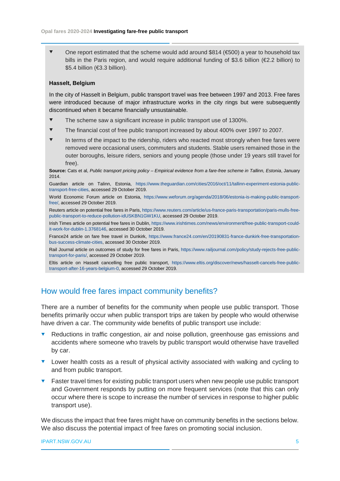One report estimated that the scheme would add around \$814 (€500) a year to household tax bills in the Paris region, and would require additional funding of \$3.6 billion ( $\epsilon$ 2.2 billion) to \$5.4 billion (€3.3 billion).

## **Hasselt, Belgium**

In the city of Hasselt in Belgium, public transport travel was free between 1997 and 2013. Free fares were introduced because of major infrastructure works in the city rings but were subsequently discontinued when it became financially unsustainable.

- The scheme saw a significant increase in public transport use of 1300%.
- The financial cost of free public transport increased by about 400% over 1997 to 2007.
- In terms of the impact to the ridership, riders who reacted most strongly when free fares were removed were occasional users, commuters and students. Stable users remained those in the outer boroughs, leisure riders, seniors and young people (those under 19 years still travel for free).

**Source:** Cats et al, *Public transport pricing policy – Empirical evidence from a fare-free scheme in Tallinn, Estonia*, January 2014.

Guardian article on Talinn, Estonia, [https://www.theguardian.com/cities/2016/oct/11/tallinn-experiment-estonia-public](https://www.theguardian.com/cities/2016/oct/11/tallinn-experiment-estonia-public-transport-free-cities)[transport-free-cities,](https://www.theguardian.com/cities/2016/oct/11/tallinn-experiment-estonia-public-transport-free-cities) accessed 29 October 2019.

World Economic Forum article on Estonia, [https://www.weforum.org/agenda/2018/06/estonia-is-making-public-transport](https://www.weforum.org/agenda/2018/06/estonia-is-making-public-transport-free/)[free/,](https://www.weforum.org/agenda/2018/06/estonia-is-making-public-transport-free/) accessed 29 October 2019.

Reuters article on potential free fares in Paris[, https://www.reuters.com/article/us-france-paris-transportation/paris-mulls-free](https://www.reuters.com/article/us-france-paris-transportation/paris-mulls-free-public-transport-to-reduce-pollution-idUSKBN1GW1KU)[public-transport-to-reduce-pollution-idUSKBN1GW1KU,](https://www.reuters.com/article/us-france-paris-transportation/paris-mulls-free-public-transport-to-reduce-pollution-idUSKBN1GW1KU) accessed 29 October 2019.

Irish Times article on potential free fares in Dublin[, https://www.irishtimes.com/news/environment/free-public-transport-could](https://www.irishtimes.com/news/environment/free-public-transport-could-it-work-for-dublin-1.3768146)[it-work-for-dublin-1.3768146,](https://www.irishtimes.com/news/environment/free-public-transport-could-it-work-for-dublin-1.3768146) accessed 30 October 2019.

France24 article on fare free travel in Dunkirk, [https://www.france24.com/en/20190831-france-dunkirk-free-transportation](https://www.france24.com/en/20190831-france-dunkirk-free-transportation-bus-success-climate-cities)[bus-success-climate-cities,](https://www.france24.com/en/20190831-france-dunkirk-free-transportation-bus-success-climate-cities) accessed 30 October 2019.

Rail Journal article on outcomes of study for free fares in Paris, [https://www.railjournal.com/policy/study-rejects-free-public](https://www.railjournal.com/policy/study-rejects-free-public-transport-for-paris/)[transport-for-paris/,](https://www.railjournal.com/policy/study-rejects-free-public-transport-for-paris/) accessed 29 October 2019.

Eltis article on Hasselt cancelling free public transport, [https://www.eltis.org/discover/news/hasselt-cancels-free-public](https://www.eltis.org/discover/news/hasselt-cancels-free-public-transport-after-16-years-belgium-0)[transport-after-16-years-belgium-0,](https://www.eltis.org/discover/news/hasselt-cancels-free-public-transport-after-16-years-belgium-0) accessed 29 October 2019.

## How would free fares impact community benefits?

There are a number of benefits for the community when people use public transport. Those benefits primarily occur when public transport trips are taken by people who would otherwise have driven a car. The community wide benefits of public transport use include:

- Reductions in traffic congestion, air and noise pollution, greenhouse gas emissions and accidents where someone who travels by public transport would otherwise have travelled by car.
- **v** Lower health costs as a result of physical activity associated with walking and cycling to and from public transport.
- **Faster travel times for existing public transport users when new people use public transport** and Government responds by putting on more frequent services (note that this can only occur where there is scope to increase the number of services in response to higher public transport use).

We discuss the impact that free fares might have on community benefits in the sections below. We also discuss the potential impact of free fares on promoting social inclusion.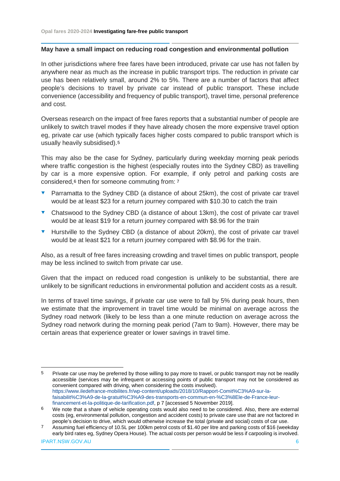## **May have a small impact on reducing road congestion and environmental pollution**

In other jurisdictions where free fares have been introduced, private car use has not fallen by anywhere near as much as the increase in public transport trips. The reduction in private car use has been relatively small, around 2% to 5%. There are a number of factors that affect people's decisions to travel by private car instead of public transport. These include convenience (accessibility and frequency of public transport), travel time, personal preference and cost.

Overseas research on the impact of free fares reports that a substantial number of people are unlikely to switch travel modes if they have already chosen the more expensive travel option eg, private car use (which typically faces higher costs compared to public transport which is usually heavily subsidised).[5](#page-6-0)

This may also be the case for Sydney, particularly during weekday morning peak periods where traffic congestion is the highest (especially routes into the Sydney CBD) as travelling by car is a more expensive option. For example, if only petrol and parking costs are considered,[6](#page-6-1) then for someone commuting from: [7](#page-6-2)

- Parramatta to the Sydney CBD (a distance of about 25km), the cost of private car travel would be at least \$23 for a return journey compared with \$10.30 to catch the train
- **•** Chatswood to the Sydney CBD (a distance of about 13km), the cost of private car travel would be at least \$19 for a return journey compared with \$8.96 for the train
- **•** Hurstville to the Sydney CBD (a distance of about 20km), the cost of private car travel would be at least \$21 for a return journey compared with \$8.96 for the train.

Also, as a result of free fares increasing crowding and travel times on public transport, people may be less inclined to switch from private car use.

Given that the impact on reduced road congestion is unlikely to be substantial, there are unlikely to be significant reductions in environmental pollution and accident costs as a result.

In terms of travel time savings, if private car use were to fall by 5% during peak hours, then we estimate that the improvement in travel time would be minimal on average across the Sydney road network (likely to be less than a one minute reduction on average across the Sydney road network during the morning peak period (7am to 9am). However, there may be certain areas that experience greater or lower savings in travel time.

<span id="page-6-0"></span><sup>&</sup>lt;sup>5</sup> Private car use may be preferred by those willing to pay more to travel, or public transport may not be readily accessible (services may be infrequent or accessing points of public transport may not be considered as convenient compared with driving, when considering the costs involved). [https://www.iledefrance-mobilites.fr/wp-content/uploads/2018/10/Rapport-Comit%C3%A9-sur-la](https://www.iledefrance-mobilites.fr/wp-content/uploads/2018/10/Rapport-Comit%C3%A9-sur-la-faisabilit%C3%A9-de-la-gratuit%C3%A9-des-transports-en-commun-en-%C3%8Ele-de-France-leur-financement-et-la-politique-de-tarification.pdf)[faisabilit%C3%A9-de-la-gratuit%C3%A9-des-transports-en-commun-en-%C3%8Ele-de-France-leur](https://www.iledefrance-mobilites.fr/wp-content/uploads/2018/10/Rapport-Comit%C3%A9-sur-la-faisabilit%C3%A9-de-la-gratuit%C3%A9-des-transports-en-commun-en-%C3%8Ele-de-France-leur-financement-et-la-politique-de-tarification.pdf)[financement-et-la-politique-de-tarification.pdf,](https://www.iledefrance-mobilites.fr/wp-content/uploads/2018/10/Rapport-Comit%C3%A9-sur-la-faisabilit%C3%A9-de-la-gratuit%C3%A9-des-transports-en-commun-en-%C3%8Ele-de-France-leur-financement-et-la-politique-de-tarification.pdf) p 7 [accessed 5 November 2019].

<span id="page-6-1"></span><sup>6</sup> We note that a share of vehicle operating costs would also need to be considered. Also, there are external costs (eg, environmental pollution, congestion and accident costs) to private care use that are not factored in people's decision to drive, which would otherwise increase the total (private and social) costs of car use.

<span id="page-6-2"></span><sup>7</sup> Assuming fuel efficiency of 10.5L per 100km petrol costs of \$1.40 per litre and parking costs of \$16 (weekday early bird rates eg, Sydney Opera House). The actual costs per person would be less if carpooling is involved.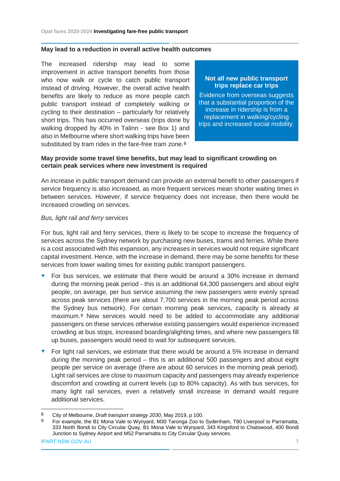## **May lead to a reduction in overall active health outcomes**

The increased ridership may lead to some improvement in active transport benefits from those who now walk or cycle to catch public transport instead of driving. However, the overall active health benefits are likely to reduce as more people catch public transport instead of completely walking or cycling to their destination – particularly for relatively short trips. This has occurred overseas (trips done by walking dropped by 40% in Talinn - see Box 1) and also in Melbourne where short walking trips have been substituted by tram rides in the fare-free tram zone.<sup>[8](#page-7-0)</sup>

## **Not all new public transport trips replace car trips**

Evidence from overseas suggests that a substantial proportion of the increase in ridership is from a replacement in walking/cycling trips and increased social mobility.

## **May provide some travel time benefits, but may lead to significant crowding on certain peak services where new investment is required**

An increase in public transport demand can provide an external benefit to other passengers if service frequency is also increased, as more frequent services mean shorter waiting times in between services. However, if service frequency does not increase, then there would be increased crowding on services.

## *Bus, light rail and ferry services*

For bus, light rail and ferry services, there is likely to be scope to increase the frequency of services across the Sydney network by purchasing new buses, trams and ferries. While there is a cost associated with this expansion, any increases in services would not require significant capital investment. Hence, with the increase in demand, there may be some benefits for these services from lower waiting times for existing public transport passengers.

- For bus services, we estimate that there would be around a 30% increase in demand during the morning peak period - this is an additional 64,300 passengers and about eight people, on average, per bus service assuming the new passengers were evenly spread across peak services (there are about 7,700 services in the morning peak period across the Sydney bus network). For certain morning peak services, capacity is already at maximum.[9](#page-7-1) New services would need to be added to accommodate any additional passengers on these services otherwise existing passengers would experience increased crowding at bus stops, increased boarding/alighting times, and where new passengers fill up buses, passengers would need to wait for subsequent services.
- For light rail services, we estimate that there would be around a 5% increase in demand during the morning peak period – this is an additional 500 passengers and about eight people per service on average (there are about 60 services in the morning peak period). Light rail services are close to maximum capacity and passengers may already experience discomfort and crowding at current levels (up to 80% capacity). As with bus services, for many light rail services, even a relatively small increase in demand would require additional services.

<span id="page-7-1"></span><span id="page-7-0"></span> <sup>8</sup> City of Melbourne, *Draft transport strategy 2030*, May 2019, p 100.

<sup>9</sup> For example, the B1 Mona Vale to Wynyard, M30 Taronga Zoo to Sydenham, T80 Liverpool to Parramatta, 333 North Bondi to City Circular Quay, B1 Mona Vale to Wynyard, 343 Kingsford to Chatswood, 400 Bondi Junction to Sydney Airport and M52 Parramatta to City Circular Quay services.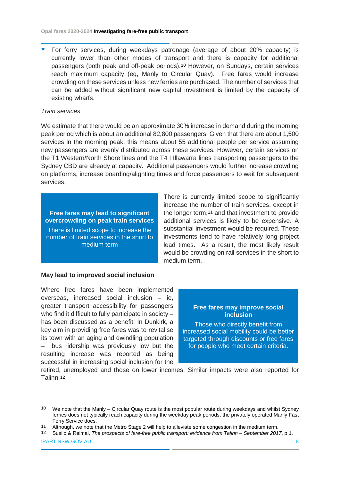For ferry services, during weekdays patronage (average of about 20% capacity) is currently lower than other modes of transport and there is capacity for additional passengers (both peak and off-peak periods).[10](#page-8-0) However, on Sundays, certain services reach maximum capacity (eg, Manly to Circular Quay). Free fares would increase crowding on these services unless new ferries are purchased. The number of services that can be added without significant new capital investment is limited by the capacity of existing wharfs.

## *Train services*

We estimate that there would be an approximate 30% increase in demand during the morning peak period which is about an additional 82,800 passengers. Given that there are about 1,500 services in the morning peak, this means about 55 additional people per service assuming new passengers are evenly distributed across these services. However, certain services on the T1 Western/North Shore lines and the T4 I Illawarra lines transporting passengers to the Sydney CBD are already at capacity. Additional passengers would further increase crowding on platforms, increase boarding/alighting times and force passengers to wait for subsequent services.

**Free fares may lead to significant overcrowding on peak train services**

There is limited scope to increase the number of train services in the short to medium term

## **May lead to improved social inclusion**

Where free fares have been implemented overseas, increased social inclusion – ie, greater transport accessibility for passengers who find it difficult to fully participate in society – has been discussed as a benefit. In Dunkirk, a key aim in providing free fares was to revitalise its town with an aging and dwindling population bus ridership was previously low but the resulting increase was reported as being successful in increasing social inclusion for the

There is currently limited scope to significantly increase the number of train services, except in the longer term,[11](#page-8-1) and that investment to provide additional services is likely to be expensive. A substantial investment would be required. These investments tend to have relatively long project lead times. As a result, the most likely result would be crowding on rail services in the short to medium term.

## **Free fares may improve social inclusion**

Those who directly benefit from increased social mobility could be better targeted through discounts or free fares for people who meet certain criteria.

retired, unemployed and those on lower incomes. Similar impacts were also reported for Talinn[.12](#page-8-2)

IPART.NSW.GOV.AU 8

<span id="page-8-0"></span> <sup>10</sup> We note that the Manly – Circular Quay route is the most popular route during weekdays and whilst Sydney ferries does not typically reach capacity during the weekday peak periods, the privately operated Manly Fast Ferry Service does.

<span id="page-8-1"></span><sup>11</sup> Although, we note that the Metro Stage 2 will help to alleviate some congestion in the medium term.

<span id="page-8-2"></span><sup>12</sup> Susilo & Reimal, *The prospects of fare-free public transport: evidence from Talinn – September 2017*, p 1.